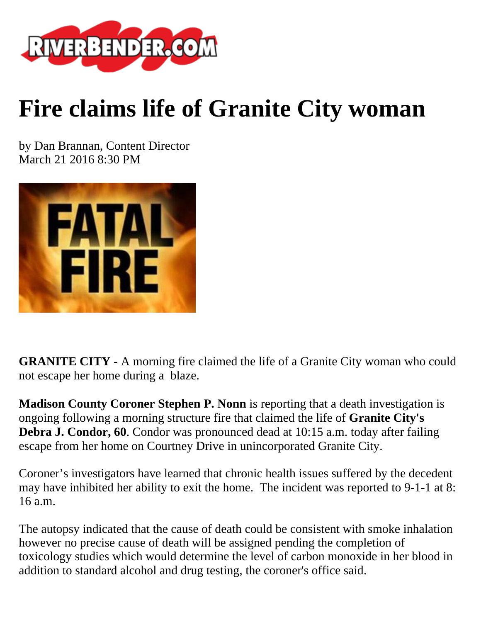

## **Fire claims life of Granite City woman**

by Dan Brannan, Content Director March 21 2016 8:30 PM



**GRANITE CITY** - A morning fire claimed the life of a Granite City woman who could not escape her home during a blaze.

**Madison County Coroner Stephen P. Nonn** is reporting that a death investigation is ongoing following a morning structure fire that claimed the life of **Granite City's Debra J. Condor, 60**. Condor was pronounced dead at 10:15 a.m. today after failing escape from her home on Courtney Drive in unincorporated Granite City.

Coroner's investigators have learned that chronic health issues suffered by the decedent may have inhibited her ability to exit the home. The incident was reported to 9-1-1 at 8: 16 a.m.

The autopsy indicated that the cause of death could be consistent with smoke inhalation however no precise cause of death will be assigned pending the completion of toxicology studies which would determine the level of carbon monoxide in her blood in addition to standard alcohol and drug testing, the coroner's office said.